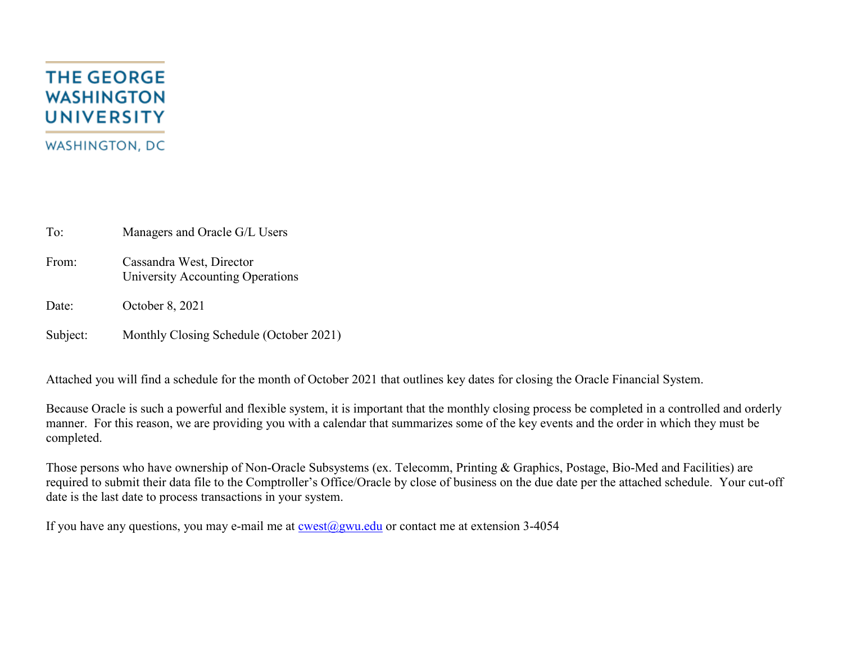## **THE GEORGE WASHINGTON UNIVERSITY WASHINGTON, DC**

To: Managers and Oracle G/L Users

From: Cassandra West, Director University Accounting Operations

Date: October 8, 2021

Subject: Monthly Closing Schedule (October 2021)

Attached you will find a schedule for the month of October 2021 that outlines key dates for closing the Oracle Financial System.

Because Oracle is such a powerful and flexible system, it is important that the monthly closing process be completed in a controlled and orderly manner. For this reason, we are providing you with a calendar that summarizes some of the key events and the order in which they must be completed.

Those persons who have ownership of Non-Oracle Subsystems (ex. Telecomm, Printing & Graphics, Postage, Bio-Med and Facilities) are required to submit their data file to the Comptroller's Office/Oracle by close of business on the due date per the attached schedule. Your cut-off date is the last date to process transactions in your system.

If you have any questions, you may e-mail me at  $\cos(\omega)$ gwu.edu or contact me at extension 3-4054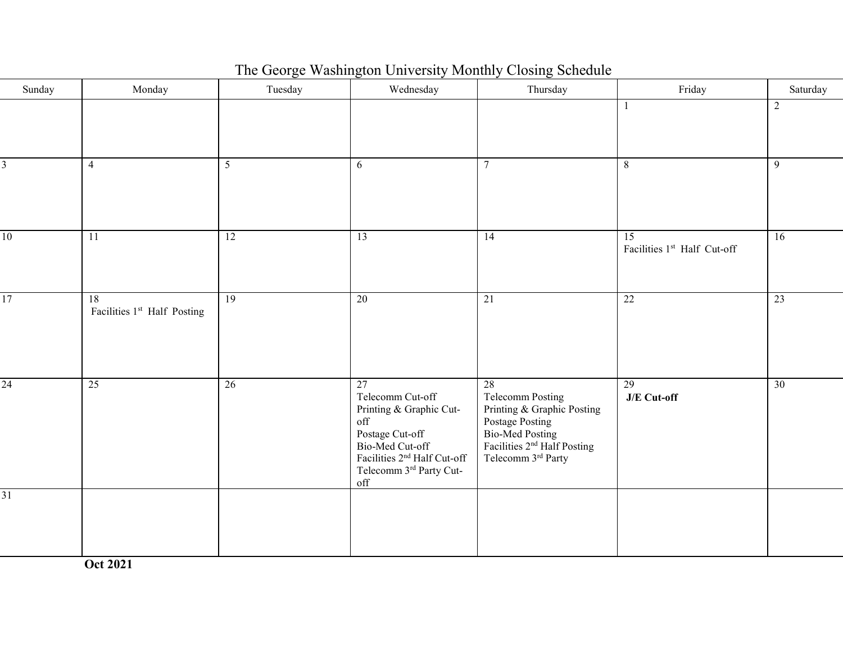| The George Washington University Monthly Closing Schedule |  |  |  |  |  |  |
|-----------------------------------------------------------|--|--|--|--|--|--|
|-----------------------------------------------------------|--|--|--|--|--|--|

| Sunday          | Monday                            | Tuesday         | Wednesday                                                                                                                                                                            | Thursday                                                                                                                                                          | Friday                                         | Saturday        |
|-----------------|-----------------------------------|-----------------|--------------------------------------------------------------------------------------------------------------------------------------------------------------------------------------|-------------------------------------------------------------------------------------------------------------------------------------------------------------------|------------------------------------------------|-----------------|
|                 |                                   |                 |                                                                                                                                                                                      |                                                                                                                                                                   | 1                                              | 2               |
| 3               | $\overline{4}$                    | 5 <sup>5</sup>  | 6                                                                                                                                                                                    | $\overline{7}$                                                                                                                                                    | 8                                              | $\overline{9}$  |
| 10              | $\overline{11}$                   | 12              | 13                                                                                                                                                                                   | 14                                                                                                                                                                | $\overline{15}$<br>Facilities 1st Half Cut-off | $\overline{16}$ |
| $\overline{17}$ | 18<br>Facilities 1st Half Posting | $\overline{19}$ | $\overline{20}$                                                                                                                                                                      | $\overline{21}$                                                                                                                                                   | 22                                             | 23              |
| $\overline{24}$ | 25                                | $\overline{26}$ | 27<br>Telecomm Cut-off<br>Printing & Graphic Cut-<br>off<br>Postage Cut-off<br>Bio-Med Cut-off<br>Facilities 2 <sup>nd</sup> Half Cut-off<br>Telecomm $3^{\rm rd}$ Party Cut-<br>off | 28<br><b>Telecomm Posting</b><br>Printing & Graphic Posting<br>Postage Posting<br>Bio-Med Posting<br>Facilities $2nd$ Half Posting<br>Telecomm $3^{\rm rd}$ Party | $\overline{29}$<br>J/E Cut-off                 | $\overline{30}$ |
| $\overline{31}$ |                                   |                 |                                                                                                                                                                                      |                                                                                                                                                                   |                                                |                 |

**Oct 2021**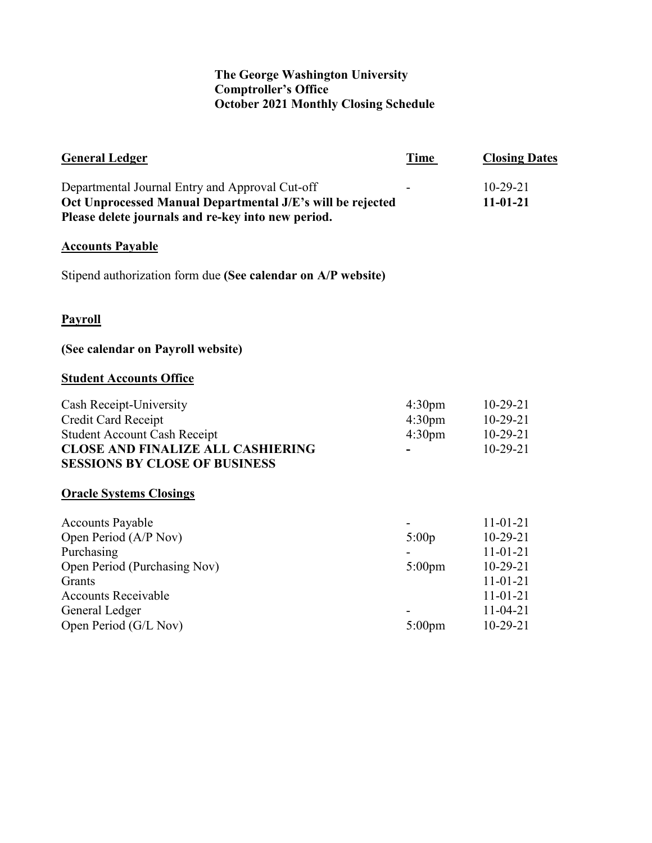## **The George Washington University Comptroller's Office October 2021 Monthly Closing Schedule**

| <b>General Ledger</b>                                                                                                                                                             | Time                                                           | <b>Closing Dates</b>                                                                                                         |
|-----------------------------------------------------------------------------------------------------------------------------------------------------------------------------------|----------------------------------------------------------------|------------------------------------------------------------------------------------------------------------------------------|
| Departmental Journal Entry and Approval Cut-off<br>Oct Unprocessed Manual Departmental J/E's will be rejected<br>Please delete journals and re-key into new period.               |                                                                | $10-29-21$<br>$11-01-21$                                                                                                     |
| <b>Accounts Payable</b>                                                                                                                                                           |                                                                |                                                                                                                              |
| Stipend authorization form due (See calendar on A/P website)                                                                                                                      |                                                                |                                                                                                                              |
| <b>Payroll</b>                                                                                                                                                                    |                                                                |                                                                                                                              |
| (See calendar on Payroll website)                                                                                                                                                 |                                                                |                                                                                                                              |
| <b>Student Accounts Office</b>                                                                                                                                                    |                                                                |                                                                                                                              |
| Cash Receipt-University<br>Credit Card Receipt<br><b>Student Account Cash Receipt</b><br><b>CLOSE AND FINALIZE ALL CASHIERING</b><br><b>SESSIONS BY CLOSE OF BUSINESS</b>         | 4:30 <sub>pm</sub><br>4:30 <sub>pm</sub><br>4:30 <sub>pm</sub> | $10-29-21$<br>$10-29-21$<br>$10-29-21$<br>$10-29-21$                                                                         |
| <b>Oracle Systems Closings</b>                                                                                                                                                    |                                                                |                                                                                                                              |
| <b>Accounts Payable</b><br>Open Period (A/P Nov)<br>Purchasing<br>Open Period (Purchasing Nov)<br>Grants<br><b>Accounts Receivable</b><br>General Ledger<br>Open Period (G/L Nov) | 5:00p<br>$5:00$ pm<br>$5:00$ pm                                | $11 - 01 - 21$<br>$10-29-21$<br>$11 - 01 - 21$<br>$10-29-21$<br>$11 - 01 - 21$<br>$11 - 01 - 21$<br>$11-04-21$<br>$10-29-21$ |
|                                                                                                                                                                                   |                                                                |                                                                                                                              |